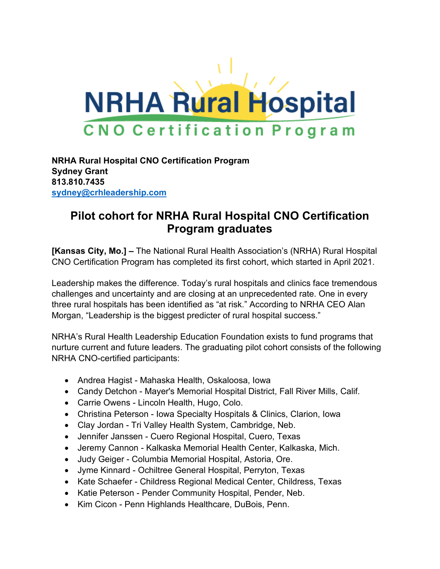

**NRHA Rural Hospital CNO Certification Program Sydney Grant 813.810.7435 [sydney@crhleadership.com](mailto:sydney@crhleadership.com)**

## **Pilot cohort for NRHA Rural Hospital CNO Certification Program graduates**

**[Kansas City, Mo.] –** The National Rural Health Association's (NRHA) Rural Hospital CNO Certification Program has completed its first cohort, which started in April 2021.

Leadership makes the difference. Today's rural hospitals and clinics face tremendous challenges and uncertainty and are closing at an unprecedented rate. One in every three rural hospitals has been identified as "at risk." According to NRHA CEO Alan Morgan, "Leadership is the biggest predicter of rural hospital success."

NRHA's Rural Health Leadership Education Foundation exists to fund programs that nurture current and future leaders. The graduating pilot cohort consists of the following NRHA CNO-certified participants:

- Andrea Hagist Mahaska Health, Oskaloosa, Iowa
- Candy Detchon Mayer's Memorial Hospital District, Fall River Mills, Calif.
- Carrie Owens Lincoln Health, Hugo, Colo.
- Christina Peterson Iowa Specialty Hospitals & Clinics, Clarion, Iowa
- Clay Jordan Tri Valley Health System, Cambridge, Neb.
- Jennifer Janssen Cuero Regional Hospital, Cuero, Texas
- Jeremy Cannon Kalkaska Memorial Health Center, Kalkaska, Mich.
- Judy Geiger Columbia Memorial Hospital, Astoria, Ore.
- Jyme Kinnard Ochiltree General Hospital, Perryton, Texas
- Kate Schaefer Childress Regional Medical Center, Childress, Texas
- Katie Peterson Pender Community Hospital, Pender, Neb.
- Kim Cicon Penn Highlands Healthcare, DuBois, Penn.